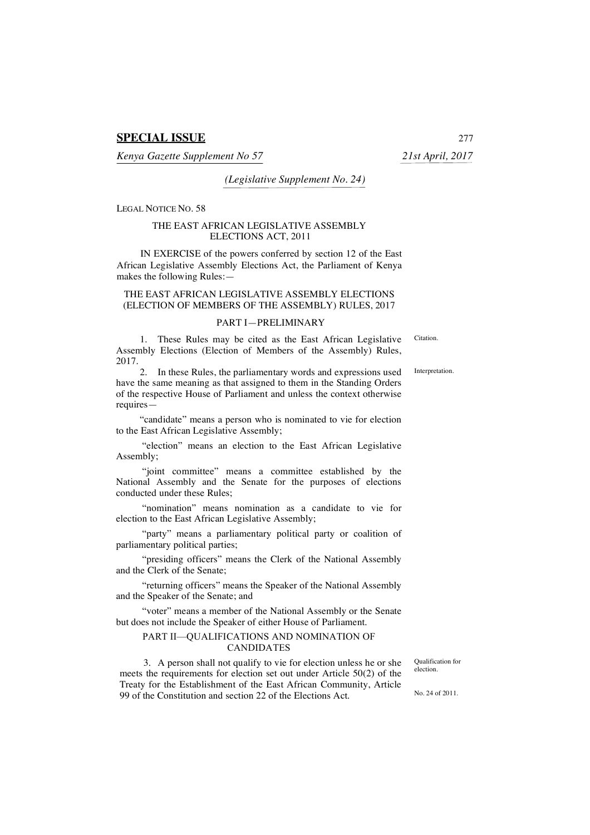*Kenya Gazette Supplement No 57 21st April, 2017*

*(Legislative Supplement No. 24)*

LEGAL NOTICE NO. 58

### THE EAST AFRICAN LEGISLATIVE ASSEMBLY ELECTIONS ACT, 2011

IN EXERCISE of the powers conferred by section 12 of the East African Legislative Assembly Elections Act, the Parliament of Kenya makes the following Rules:—

### THE EAST AFRICAN LEGISLATIVE ASSEMBLY ELECTIONS (ELECTION OF MEMBERS OF THE ASSEMBLY) RULES, 2017

### PART I—PRELIMINARY

1. These Rules may be cited as the East African Legislative Assembly Elections (Election of Members of the Assembly) Rules, 2017.

2. In these Rules, the parliamentary words and expressions used have the same meaning as that assigned to them in the Standing Orders of the respective House of Parliament and unless the context otherwise requires—

"candidate" means a person who is nominated to vie for election to the East African Legislative Assembly;

"election" means an election to the East African Legislative Assembly;

"joint committee" means a committee established by the National Assembly and the Senate for the purposes of elections conducted under these Rules;

"nomination" means nomination as a candidate to vie for election to the East African Legislative Assembly;

"party" means a parliamentary political party or coalition of parliamentary political parties;

"presiding officers" means the Clerk of the National Assembly and the Clerk of the Senate;

"returning officers" means the Speaker of the National Assembly and the Speaker of the Senate; and

"voter" means a member of the National Assembly or the Senate but does not include the Speaker of either House of Parliament.

# PART II—QUALIFICATIONS AND NOMINATION OF CANDIDATES

3. A person shall not qualify to vie for election unless he or she meets the requirements for election set out under Article 50(2) of the Treaty for the Establishment of the East African Community, Article 99 of the Constitution and section 22 of the Elections Act.

Qualification for election.

No. 24 of 2011.

Interpretation.

**Citation**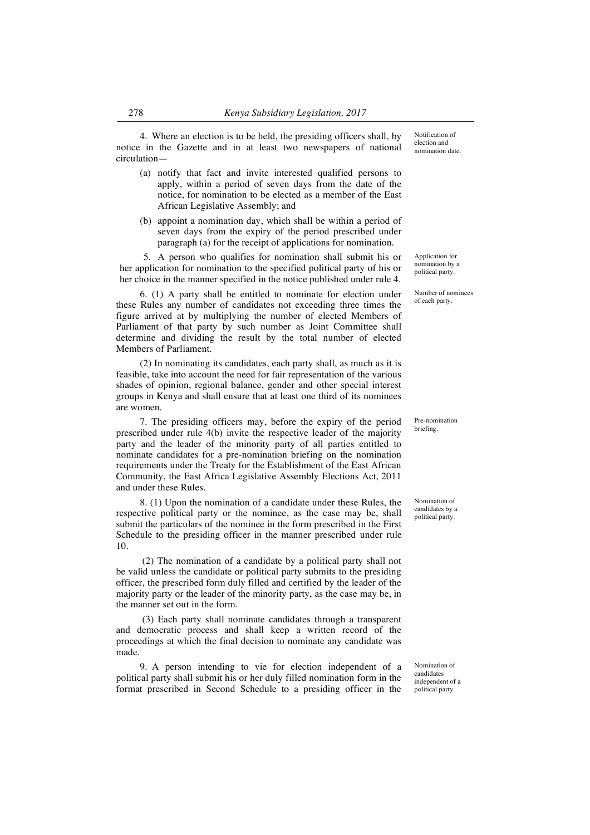4. Where an election is to be held, the presiding officers shall, by notice in the Gazette and in at least two newspapers of national circulation—

- (a) notify that fact and invite interested qualified persons to apply, within a period of seven days from the date of the notice, for nomination to be elected as a member of the East African Legislative Assembly; and
- (b) appoint a nomination day, which shall be within a period of seven days from the expiry of the period prescribed under paragraph (a) for the receipt of applications for nomination.

5. A person who qualifies for nomination shall submit his or her application for nomination to the specified political party of his or her choice in the manner specified in the notice published under rule 4.

6. (1) A party shall be entitled to nominate for election under these Rules any number of candidates not exceeding three times the figure arrived at by multiplying the number of elected Members of Parliament of that party by such number as Joint Committee shall determine and dividing the result by the total number of elected Members of Parliament.

(2) In nominating its candidates, each party shall, as much as it is feasible, take into account the need for fair representation of the various shades of opinion, regional balance, gender and other special interest groups in Kenya and shall ensure that at least one third of its nominees are women.

7. The presiding officers may, before the expiry of the period prescribed under rule 4(b) invite the respective leader of the majority party and the leader of the minority party of all parties entitled to nominate candidates for a pre-nomination briefing on the nomination requirements under the Treaty for the Establishment of the East African Community, the East Africa Legislative Assembly Elections Act, 2011 and under these Rules.

8. (1) Upon the nomination of a candidate under these Rules, the respective political party or the nominee, as the case may be, shall submit the particulars of the nominee in the form prescribed in the First Schedule to the presiding officer in the manner prescribed under rule 10.

(2) The nomination of a candidate by a political party shall not be valid unless the candidate or political party submits to the presiding officer, the prescribed form duly filled and certified by the leader of the majority party or the leader of the minority party, as the case may be, in the manner set out in the form.

(3) Each party shall nominate candidates through a transparent and democratic process and shall keep a written record of the proceedings at which the final decision to nominate any candidate was made.

9. A person intending to vie for election independent of a political party shall submit his or her duly filled nomination form in the format prescribed in Second Schedule to a presiding officer in the

Application for nomination by a political party.

Number of nominees of each party.

Pre-nomination briefing.

Nomination of candidates by a political party.

Nomination of candidates independent of a political party.

Notification of election and nomination date.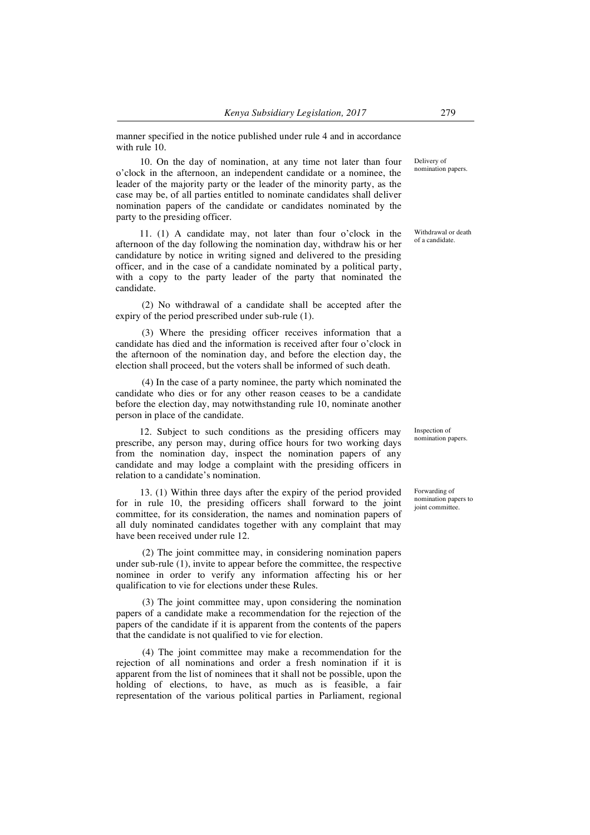manner specified in the notice published under rule 4 and in accordance with rule 10.

10. On the day of nomination, at any time not later than four o'clock in the afternoon, an independent candidate or a nominee, the leader of the majority party or the leader of the minority party, as the case may be, of all parties entitled to nominate candidates shall deliver nomination papers of the candidate or candidates nominated by the party to the presiding officer.

11. (1) A candidate may, not later than four o'clock in the afternoon of the day following the nomination day, withdraw his or her candidature by notice in writing signed and delivered to the presiding officer, and in the case of a candidate nominated by a political party, with a copy to the party leader of the party that nominated the candidate.

(2) No withdrawal of a candidate shall be accepted after the expiry of the period prescribed under sub-rule (1).

(3) Where the presiding officer receives information that a candidate has died and the information is received after four o'clock in the afternoon of the nomination day, and before the election day, the election shall proceed, but the voters shall be informed of such death.

(4) In the case of a party nominee, the party which nominated the candidate who dies or for any other reason ceases to be a candidate before the election day, may notwithstanding rule 10, nominate another person in place of the candidate.

12. Subject to such conditions as the presiding officers may prescribe, any person may, during office hours for two working days from the nomination day, inspect the nomination papers of any candidate and may lodge a complaint with the presiding officers in relation to a candidate's nomination.

13. (1) Within three days after the expiry of the period provided for in rule 10, the presiding officers shall forward to the joint committee, for its consideration, the names and nomination papers of all duly nominated candidates together with any complaint that may have been received under rule 12.

(2) The joint committee may, in considering nomination papers under sub-rule (1), invite to appear before the committee, the respective nominee in order to verify any information affecting his or her qualification to vie for elections under these Rules.

(3) The joint committee may, upon considering the nomination papers of a candidate make a recommendation for the rejection of the papers of the candidate if it is apparent from the contents of the papers that the candidate is not qualified to vie for election.

(4) The joint committee may make a recommendation for the rejection of all nominations and order a fresh nomination if it is apparent from the list of nominees that it shall not be possible, upon the holding of elections, to have, as much as is feasible, a fair representation of the various political parties in Parliament, regional Delivery of nomination papers.

Withdrawal or death of a candidate.

Inspection of nomination papers.

Forwarding of nomination papers to joint committee.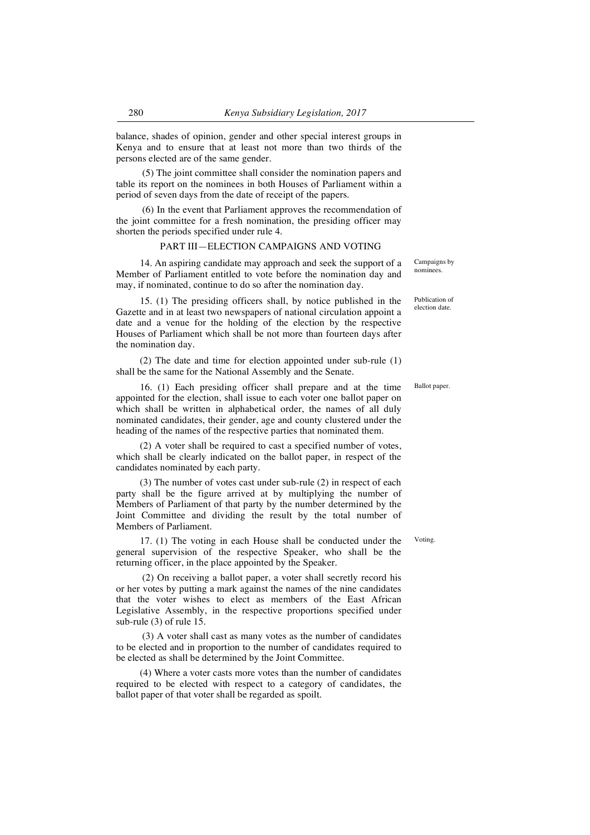balance, shades of opinion, gender and other special interest groups in Kenya and to ensure that at least not more than two thirds of the persons elected are of the same gender.

(5) The joint committee shall consider the nomination papers and table its report on the nominees in both Houses of Parliament within a period of seven days from the date of receipt of the papers.

(6) In the event that Parliament approves the recommendation of the joint committee for a fresh nomination, the presiding officer may shorten the periods specified under rule 4.

### PART III—ELECTION CAMPAIGNS AND VOTING

14. An aspiring candidate may approach and seek the support of a Member of Parliament entitled to vote before the nomination day and may, if nominated, continue to do so after the nomination day.

15. (1) The presiding officers shall, by notice published in the Gazette and in at least two newspapers of national circulation appoint a date and a venue for the holding of the election by the respective Houses of Parliament which shall be not more than fourteen days after the nomination day.

(2) The date and time for election appointed under sub-rule (1) shall be the same for the National Assembly and the Senate.

16. (1) Each presiding officer shall prepare and at the time appointed for the election, shall issue to each voter one ballot paper on which shall be written in alphabetical order, the names of all duly nominated candidates, their gender, age and county clustered under the heading of the names of the respective parties that nominated them.

(2) A voter shall be required to cast a specified number of votes, which shall be clearly indicated on the ballot paper, in respect of the candidates nominated by each party.

(3) The number of votes cast under sub-rule (2) in respect of each party shall be the figure arrived at by multiplying the number of Members of Parliament of that party by the number determined by the Joint Committee and dividing the result by the total number of Members of Parliament.

17. (1) The voting in each House shall be conducted under the general supervision of the respective Speaker, who shall be the returning officer, in the place appointed by the Speaker.

(2) On receiving a ballot paper, a voter shall secretly record his or her votes by putting a mark against the names of the nine candidates that the voter wishes to elect as members of the East African Legislative Assembly, in the respective proportions specified under sub-rule (3) of rule 15.

(3) A voter shall cast as many votes as the number of candidates to be elected and in proportion to the number of candidates required to be elected as shall be determined by the Joint Committee.

(4) Where a voter casts more votes than the number of candidates required to be elected with respect to a category of candidates, the ballot paper of that voter shall be regarded as spoilt.

Campaigns by nominees.

Publication of election date.

Ballot paper.

Voting.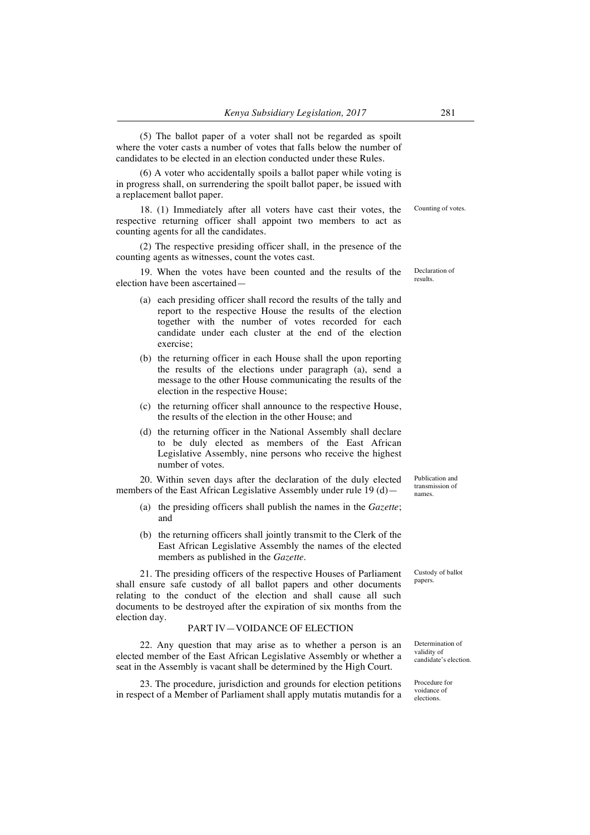(5) The ballot paper of a voter shall not be regarded as spoilt where the voter casts a number of votes that falls below the number of candidates to be elected in an election conducted under these Rules.

(6) A voter who accidentally spoils a ballot paper while voting is in progress shall, on surrendering the spoilt ballot paper, be issued with a replacement ballot paper.

18. (1) Immediately after all voters have cast their votes, the respective returning officer shall appoint two members to act as counting agents for all the candidates.

(2) The respective presiding officer shall, in the presence of the counting agents as witnesses, count the votes cast.

19. When the votes have been counted and the results of the election have been ascertained—

- (a) each presiding officer shall record the results of the tally and report to the respective House the results of the election together with the number of votes recorded for each candidate under each cluster at the end of the election exercise;
- (b) the returning officer in each House shall the upon reporting the results of the elections under paragraph (a), send a message to the other House communicating the results of the election in the respective House;
- (c) the returning officer shall announce to the respective House, the results of the election in the other House; and
- (d) the returning officer in the National Assembly shall declare to be duly elected as members of the East African Legislative Assembly, nine persons who receive the highest number of votes.

20. Within seven days after the declaration of the duly elected members of the East African Legislative Assembly under rule 19 (d)—

- (a) the presiding officers shall publish the names in the *Gazette*; and
- (b) the returning officers shall jointly transmit to the Clerk of the East African Legislative Assembly the names of the elected members as published in the *Gazette*.

21. The presiding officers of the respective Houses of Parliament shall ensure safe custody of all ballot papers and other documents relating to the conduct of the election and shall cause all such documents to be destroyed after the expiration of six months from the election day.

### PART IV—VOIDANCE OF ELECTION

22. Any question that may arise as to whether a person is an elected member of the East African Legislative Assembly or whether a seat in the Assembly is vacant shall be determined by the High Court.

23. The procedure, jurisdiction and grounds for election petitions in respect of a Member of Parliament shall apply mutatis mutandis for a

Custody of ballot papers.

Determination of validity of candidate's election.

Procedure for voidance of elections.

Publication and transmission of names.

Declaration of results.

Counting of votes.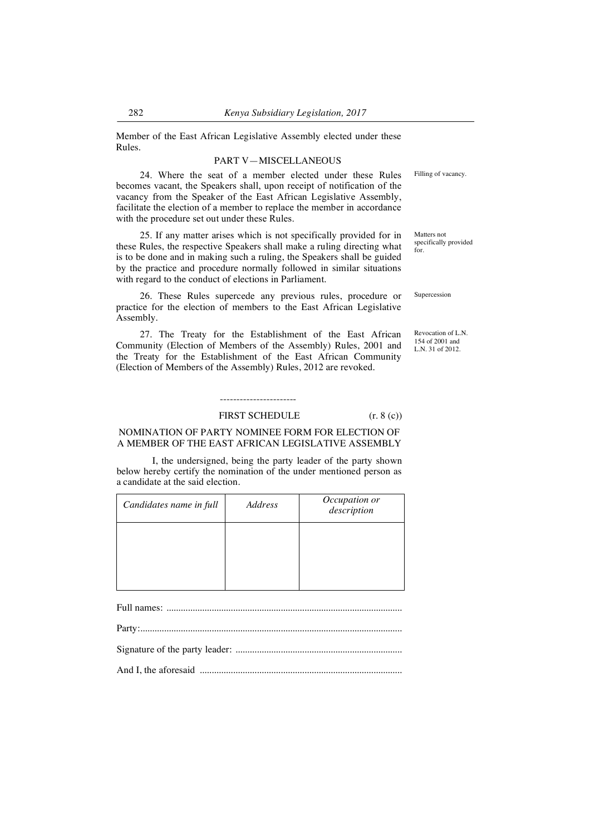Member of the East African Legislative Assembly elected under these Rules.

### PART V—MISCELLANEOUS

24. Where the seat of a member elected under these Rules becomes vacant, the Speakers shall, upon receipt of notification of the vacancy from the Speaker of the East African Legislative Assembly, facilitate the election of a member to replace the member in accordance with the procedure set out under these Rules.

25. If any matter arises which is not specifically provided for in these Rules, the respective Speakers shall make a ruling directing what is to be done and in making such a ruling, the Speakers shall be guided by the practice and procedure normally followed in similar situations with regard to the conduct of elections in Parliament.

26. These Rules supercede any previous rules, procedure or practice for the election of members to the East African Legislative Assembly.

27. The Treaty for the Establishment of the East African Community (Election of Members of the Assembly) Rules, 2001 and the Treaty for the Establishment of the East African Community (Election of Members of the Assembly) Rules, 2012 are revoked.

# -----------------------

#### FIRST SCHEDULE  $(r, 8 (c))$

# NOMINATION OF PARTY NOMINEE FORM FOR ELECTION OF A MEMBER OF THE EAST AFRICAN LEGISLATIVE ASSEMBLY

I, the undersigned, being the party leader of the party shown below hereby certify the nomination of the under mentioned person as a candidate at the said election.

| Candidates name in full | Address | Occupation or<br>description |
|-------------------------|---------|------------------------------|
|                         |         |                              |
|                         |         |                              |
|                         |         |                              |

Full names: ...................................................................................................

Party:..............................................................................................................

Signature of the party leader: ......................................................................

And I, the aforesaid .....................................................................................

Filling of vacancy.

Matters not specifically provided for.

Supercession

Revocation of L.N. 154 of 2001 and L.N. 31 of 2012.